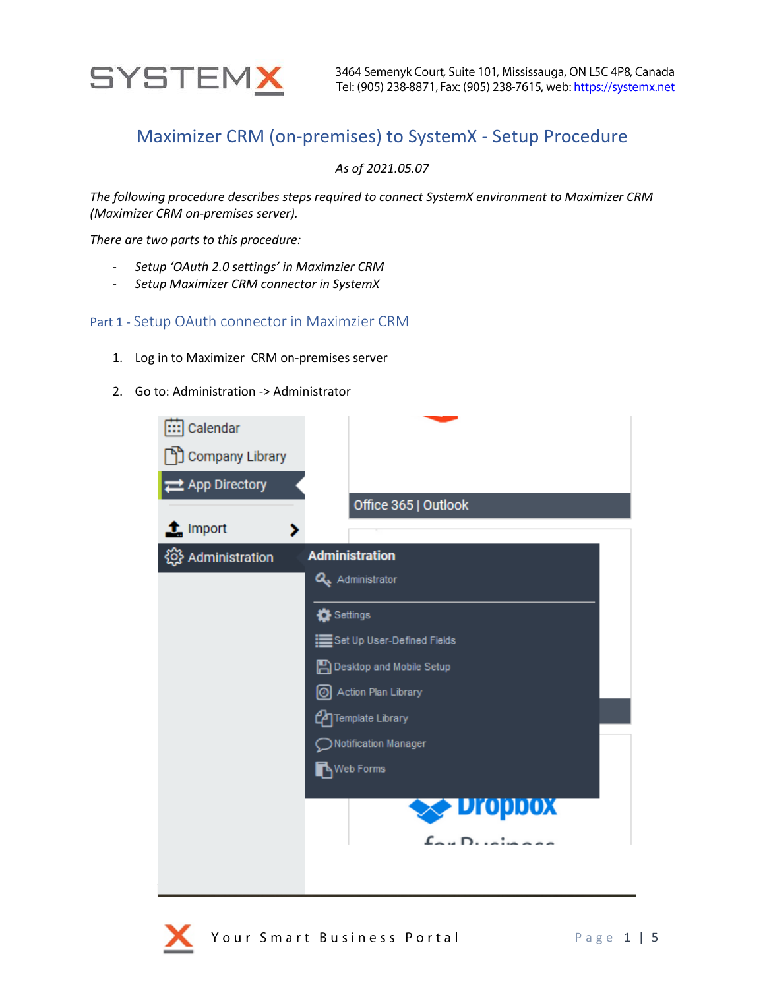

## Maximizer CRM (on-premises) to SystemX - Setup Procedure

*As of 2021.05.07*

*The following procedure describes steps required to connect SystemX environment to Maximizer CRM (Maximizer CRM on-premises server).*

*There are two parts to this procedure:*

- *Setup 'OAuth 2.0 settings' in Maximzier CRM*
- *Setup Maximizer CRM connector in SystemX*

## Part 1 - Setup OAuth connector in Maximzier CRM

- 1. Log in to Maximizer CRM on-premises server
- 2. Go to: Administration -> Administrator

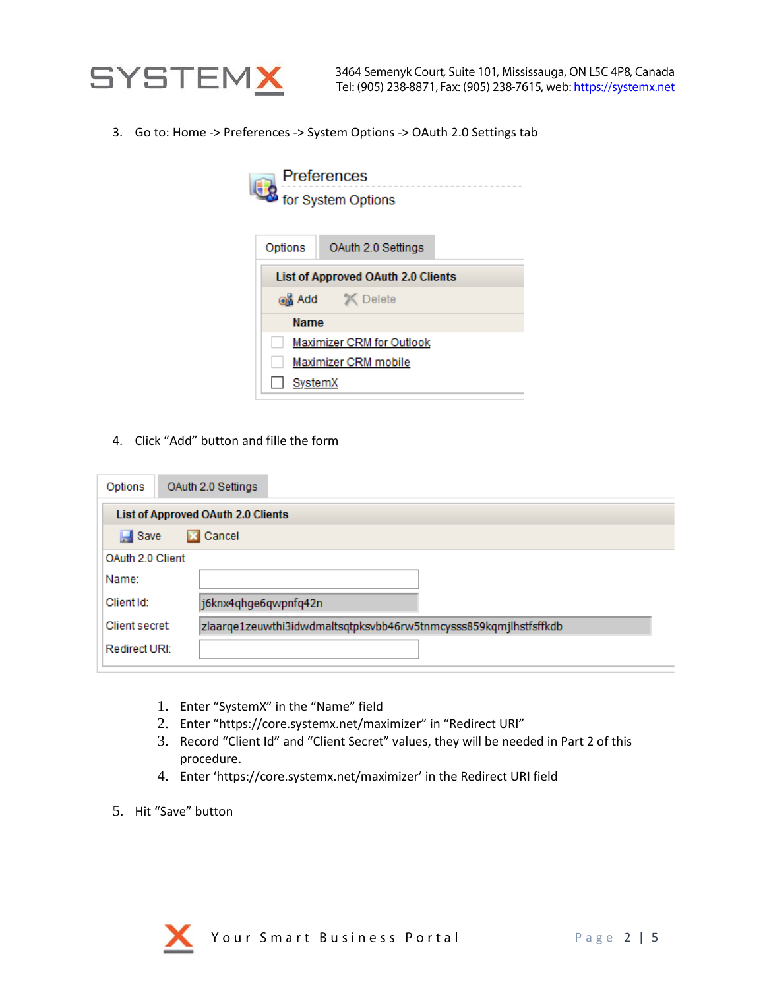

3. Go to: Home -> Preferences -> System Options -> OAuth 2.0 Settings tab

| <b>Preferences</b><br>for System Options  |                    |  |  |
|-------------------------------------------|--------------------|--|--|
|                                           |                    |  |  |
| Options                                   | OAuth 2.0 Settings |  |  |
| <b>List of Approved OAuth 2.0 Clients</b> |                    |  |  |
| as Add X Delete                           |                    |  |  |
| <b>Name</b>                               |                    |  |  |
| Maximizer CRM for Outlook                 |                    |  |  |
| Maximizer CRM mobile                      |                    |  |  |
| SystemX                                   |                    |  |  |

4. Click "Add" button and fille the form

| Options                                   | OAuth 2.0 Settings                                               |  |  |  |
|-------------------------------------------|------------------------------------------------------------------|--|--|--|
| <b>List of Approved OAuth 2.0 Clients</b> |                                                                  |  |  |  |
| <b>X</b> Cancel<br>$\Box$ Save            |                                                                  |  |  |  |
| OAuth 2.0 Client                          |                                                                  |  |  |  |
| Name:                                     |                                                                  |  |  |  |
| Client Id:                                | j6knx4qhge6qwpnfq42n                                             |  |  |  |
| Client secret:                            | zlaarqe1zeuwthi3idwdmaltsqtpksvbb46rw5tnmcysss859kqmjlhstfsffkdb |  |  |  |
| Redirect URI:                             |                                                                  |  |  |  |

- 1. Enter "SystemX" in the "Name" field
- 2. Enter "https://core.systemx.net/maximizer" in "Redirect URI"
- 3. Record "Client Id" and "Client Secret" values, they will be needed in Part 2 of this procedure.
- 4. Enter 'https://core.systemx.net/maximizer' in the Redirect URI field
- 5. Hit "Save" button

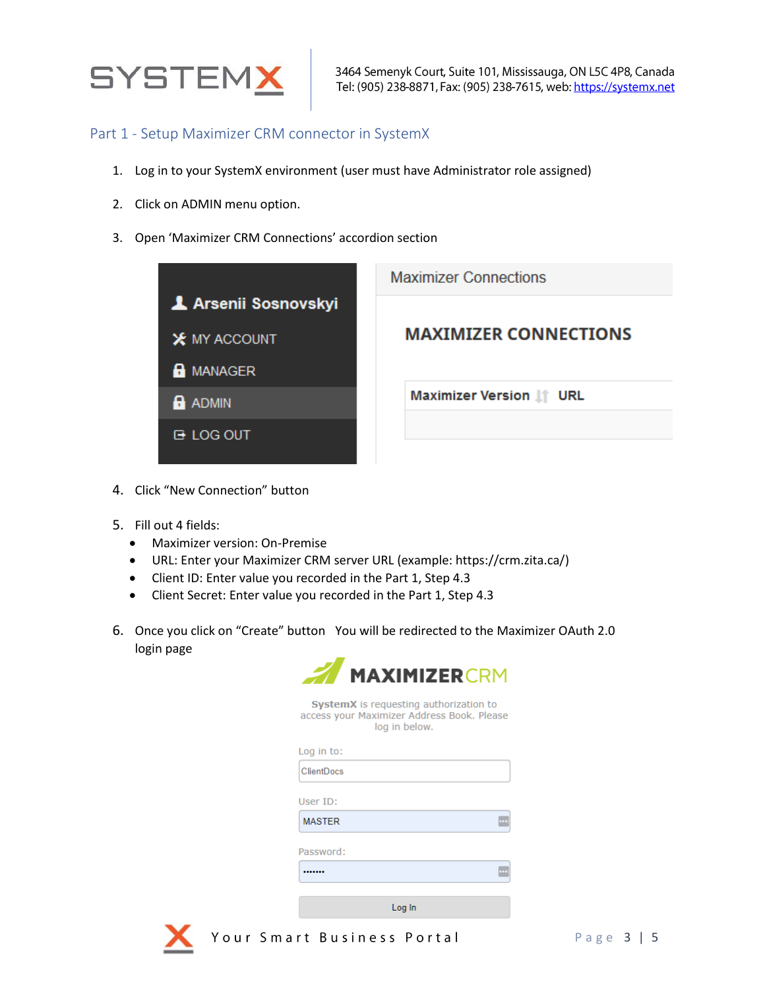

3464 Semenyk Court, Suite 101, Mississauga, ON L5C 4P8, Canada Tel: (905) 238-8871, Fax: (905) 238-7615, web: https://systemx.net

## Part 1 - Setup Maximizer CRM connector in SystemX

- 1. Log in to your SystemX environment (user must have Administrator role assigned)
- 2. Click on ADMIN menu option.
- 3. Open 'Maximizer CRM Connections' accordion section



- 4. Click "New Connection" button
- 5. Fill out 4 fields:
	- Maximizer version: On-Premise
	- URL: Enter your Maximizer CRM server URL (example: https://crm.zita.ca/)
	- Client ID: Enter value you recorded in the Part 1, Step 4.3
	- Client Secret: Enter value you recorded in the Part 1, Step 4.3
- 6. Once you click on "Create" button You will be redirected to the Maximizer OAuth 2.0 login page



| <b>SystemX</b> is requesting authorization to |  |  |
|-----------------------------------------------|--|--|
| access your Maximizer Address Book. Please    |  |  |
| log in below.                                 |  |  |

| Log in to:        |        |
|-------------------|--------|
| <b>ClientDocs</b> |        |
|                   |        |
| User ID:          |        |
| <b>MASTER</b>     |        |
|                   |        |
| Password:         |        |
|                   |        |
|                   |        |
|                   | Loa In |



Your Smart Business Portal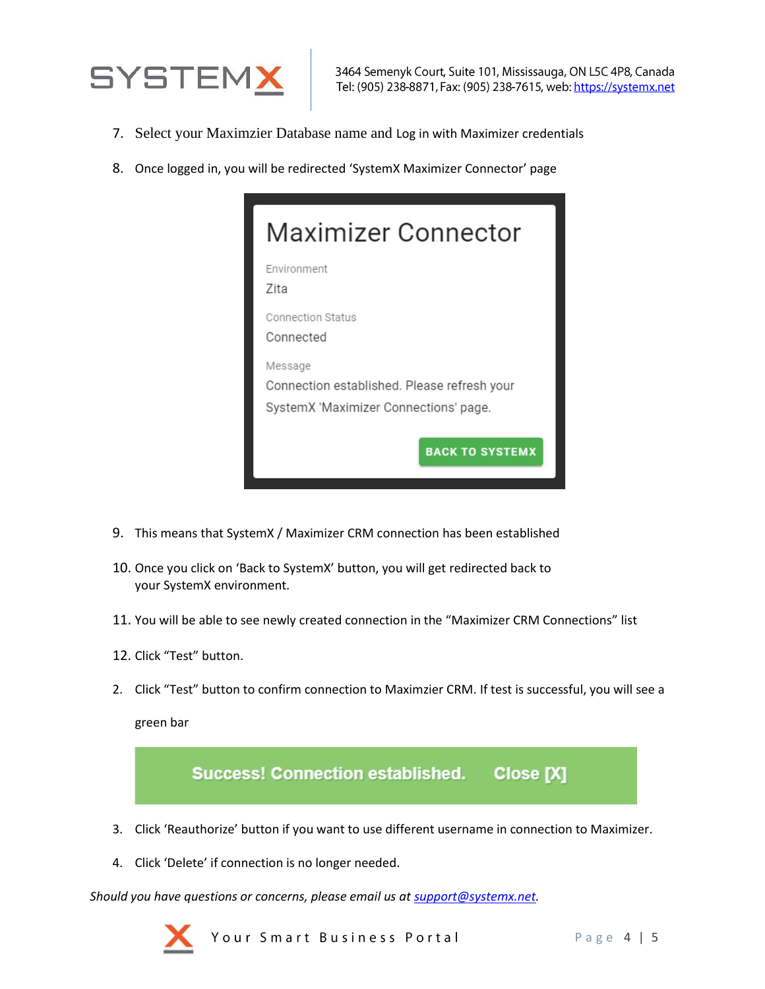

- 7. Select your Maximzier Database name and Log in with Maximizer credentials
- 8. Once logged in, you will be redirected 'SystemX Maximizer Connector' page

| Maximizer Connector                                                                             |  |  |
|-------------------------------------------------------------------------------------------------|--|--|
| Fnvironment<br>7ita                                                                             |  |  |
| Connection Status<br>Connected                                                                  |  |  |
| Message<br>Connection established. Please refresh your<br>SystemX 'Maximizer Connections' page. |  |  |
| <b>BACK TO SYSTEMX</b>                                                                          |  |  |

- 9. This means that SystemX / Maximizer CRM connection has been established
- 10. Once you click on 'Back to SystemX' button, you will get redirected back to your SystemX environment.
- 11. You will be able to see newly created connection in the "Maximizer CRM Connections" list
- 12. Click "Test" button.
- 2. Click "Test" button to confirm connection to Maximzier CRM. If test is successful, you will see a

green bar



4. Click 'Delete' if connection is no longer needed.

*Should you have questions or concerns, please email us a[t support@systemx.net.](mailto:support@systemx.net)*



Your Smart Business Portal